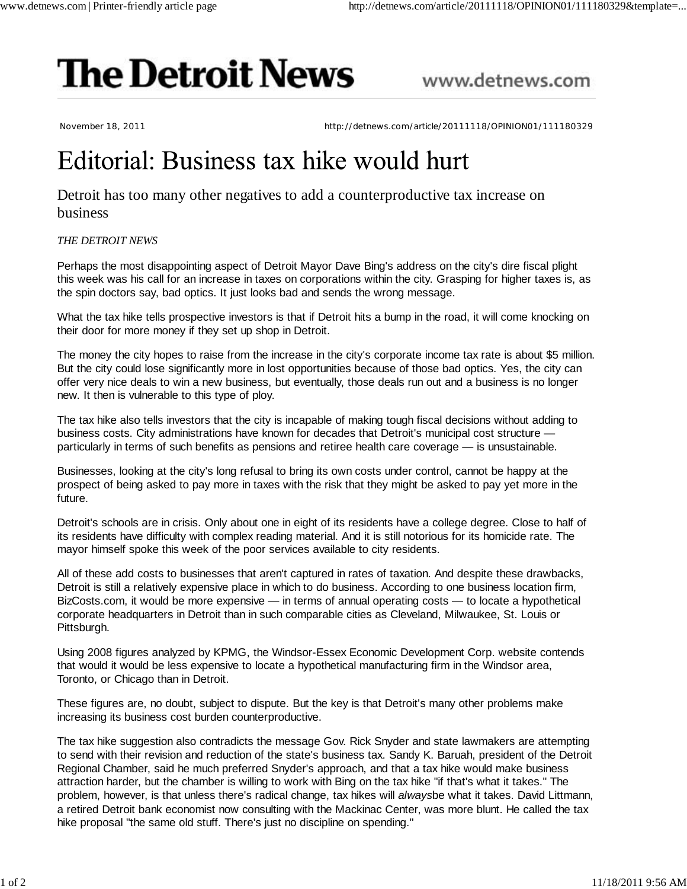## **The Detroit News**

www.detnews.com

November 18, 2011 http://detnews.com/article/20111118/OPINION01/111180329

## Editorial: Business tax hike would hurt

## Detroit has too many other negatives to add a counterproductive tax increase on business

## *THE DETROIT NEWS*

Perhaps the most disappointing aspect of Detroit Mayor Dave Bing's address on the city's dire fiscal plight this week was his call for an increase in taxes on corporations within the city. Grasping for higher taxes is, as the spin doctors say, bad optics. It just looks bad and sends the wrong message.

What the tax hike tells prospective investors is that if Detroit hits a bump in the road, it will come knocking on their door for more money if they set up shop in Detroit.

The money the city hopes to raise from the increase in the city's corporate income tax rate is about \$5 million. But the city could lose significantly more in lost opportunities because of those bad optics. Yes, the city can offer very nice deals to win a new business, but eventually, those deals run out and a business is no longer new. It then is vulnerable to this type of ploy.

The tax hike also tells investors that the city is incapable of making tough fiscal decisions without adding to business costs. City administrations have known for decades that Detroit's municipal cost structure particularly in terms of such benefits as pensions and retiree health care coverage — is unsustainable.

Businesses, looking at the city's long refusal to bring its own costs under control, cannot be happy at the prospect of being asked to pay more in taxes with the risk that they might be asked to pay yet more in the future.

Detroit's schools are in crisis. Only about one in eight of its residents have a college degree. Close to half of its residents have difficulty with complex reading material. And it is still notorious for its homicide rate. The mayor himself spoke this week of the poor services available to city residents.

All of these add costs to businesses that aren't captured in rates of taxation. And despite these drawbacks, Detroit is still a relatively expensive place in which to do business. According to one business location firm, BizCosts.com, it would be more expensive — in terms of annual operating costs — to locate a hypothetical corporate headquarters in Detroit than in such comparable cities as Cleveland, Milwaukee, St. Louis or Pittsburgh.

Using 2008 figures analyzed by KPMG, the Windsor-Essex Economic Development Corp. website contends that would it would be less expensive to locate a hypothetical manufacturing firm in the Windsor area, Toronto, or Chicago than in Detroit.

These figures are, no doubt, subject to dispute. But the key is that Detroit's many other problems make increasing its business cost burden counterproductive.

The tax hike suggestion also contradicts the message Gov. Rick Snyder and state lawmakers are attempting to send with their revision and reduction of the state's business tax. Sandy K. Baruah, president of the Detroit Regional Chamber, said he much preferred Snyder's approach, and that a tax hike would make business attraction harder, but the chamber is willing to work with Bing on the tax hike "if that's what it takes." The problem, however, is that unless there's radical change, tax hikes will *always*be what it takes. David Littmann, a retired Detroit bank economist now consulting with the Mackinac Center, was more blunt. He called the tax hike proposal "the same old stuff. There's just no discipline on spending."